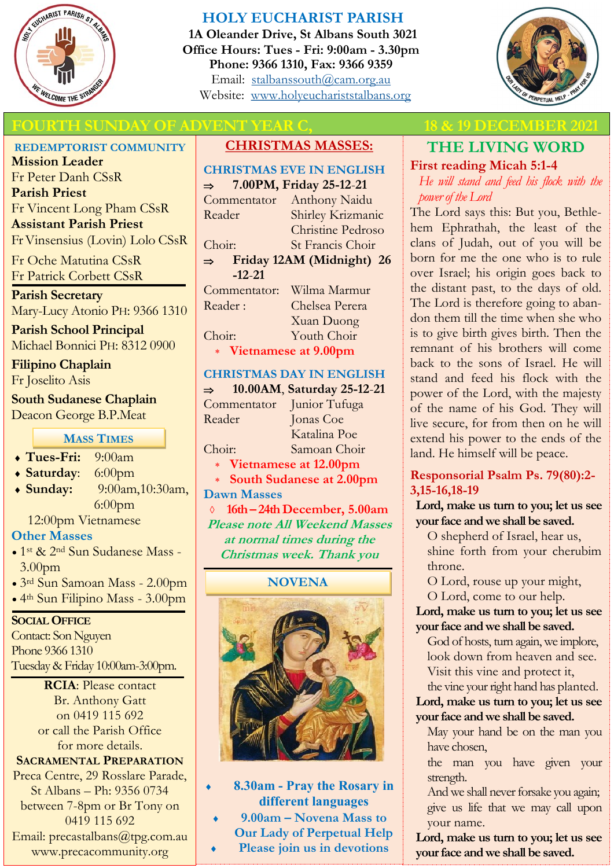

# **HOLY EUCHARIST PARISH**

**1A Oleander Drive, St Albans South 3021 Office Hours: Tues - Fri: 9:00am - 3.30pm Phone: 9366 1310, Fax: 9366 9359** Email: [stalbanssouth@cam.org.au](mailto:stalbanssouth@cam.org.au) Website:[www.holyeuchariststalbans.org](http://www.holyeuchariststalbans.org)



# **FOURTH SUNDAY OF ADVENT YEAR C,** 18 & 19 DECEMBER 202

**REDEMPTORIST COMMUNITY**

**Mission Leader** Fr Peter Danh CSsR **Parish Priest** Fr Vincent Long Pham CSsR **Assistant Parish Priest**  Fr Vinsensius (Lovin) Lolo CSsR

Fr Oche Matutina CSsR Fr Patrick Corbett CSsR

**Parish Secretary** Mary-Lucy Atonio PH: 9366 1310

**Parish School Principal** Michael Bonnici PH: 8312 0900

**Filipino Chaplain**

Fr Joselito Asis

**South Sudanese Chaplain** Deacon George B.P.Meat

## **MASS TIMES**

| 9:00am |
|--------|
|        |

- **Saturday**: 6:00pm
- **Sunday:** 9:00am,10:30am, 6:00pm

12:00pm Vietnamese

# **Other Masses**

- 1<sup>st</sup> & 2<sup>nd</sup> Sun Sudanese Mass -3.00pm
- 3rd Sun Samoan Mass 2.00pm
- 4th Sun Filipino Mass 3.00pm

### **SOCIAL OFFICE**

Contact: Son Nguyen Phone 9366 1310 Tuesday & Friday 10:00am-3:00pm.

> **RCIA**: Please contact Br. Anthony Gatt on 0419 115 692 or call the Parish Office for more details.

**SACRAMENTAL PREPARATION** Preca Centre, 29 Rosslare Parade, St Albans – Ph: 9356 0734 between 7-8pm or Br Tony on 0419 115 692 Email: precastalbans@tpg.com.au

www.precacommunity.org

# **CHRISTMAS MASSES:**

|                                            | <b>CHRISTMAS EVE IN ENGLISH</b> |
|--------------------------------------------|---------------------------------|
| 7.00PM, Friday 25-12-21<br>$\Rightarrow$   |                                 |
| Commentator                                | Anthony Naidu                   |
| Reader                                     | Shirley Krizmanic               |
|                                            | <b>Christine Pedroso</b>        |
| Choir:                                     | St Francis Choir                |
| Friday 12AM (Midnight) 26<br>$\Rightarrow$ |                                 |
| $-12-21$                                   |                                 |
| Commentator:                               | Wilma Marmur                    |
| Reader:                                    | Chelsea Perera                  |
|                                            | <b>Xuan Duong</b>               |
| Choir:                                     |                                 |

# **Vietnamese at 9.00pm**

# **CHRISTMAS DAY IN ENGLISH**

 **10.00AM**, **Saturday 25-12**-**21** Commentator Junior Tufuga Reader Jonas Coe

Katalina Poe Choir: Samoan Choir

**Vietnamese at 12.00pm**

 **South Sudanese at 2.00pm Dawn Masses** 

 **16th – 24th December, 5.00am Please note All Weekend Masses at normal times during the Christmas week. Thank you**

### **NOVENA**



- **8.30am - Pray the Rosary in different languages**
- **9.00am – Novena Mass to Our Lady of Perpetual Help Please join us in devotions**

# **THE LIVING WORD**

# **First reading Micah 5:1-4**

*He will stand and feed his flock with the power of the Lord*

The Lord says this: But you, Bethlehem Ephrathah, the least of the clans of Judah, out of you will be born for me the one who is to rule over Israel; his origin goes back to the distant past, to the days of old. The Lord is therefore going to abandon them till the time when she who is to give birth gives birth. Then the remnant of his brothers will come back to the sons of Israel. He will stand and feed his flock with the power of the Lord, with the majesty of the name of his God. They will live secure, for from then on he will extend his power to the ends of the land. He himself will be peace.

# **Responsorial Psalm Ps. 79(80):2- 3,15-16,18-19**

**Lord, make us turn to you; let us see your face and we shall be saved.**

O shepherd of Israel, hear us, shine forth from your cherubim throne.

O Lord, rouse up your might,

O Lord, come to our help.

#### **Lord, make us turn to you; let us see your face and we shall be saved.**

God of hosts, turn again, we implore, look down from heaven and see. Visit this vine and protect it,

#### the vine your right hand has planted. **Lord, make us turn to you; let us see your face and we shall be saved.**

May your hand be on the man you have chosen,

the man you have given your strength.

And we shall never forsake you again; give us life that we may call upon your name.

**Lord, make us turn to you; let us see your face and we shall be saved.**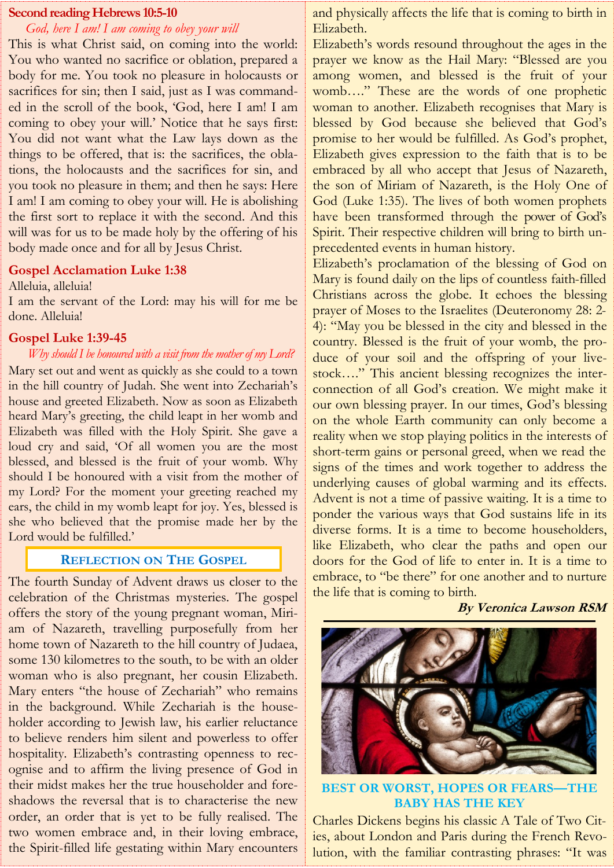#### **Second reading Hebrews 10:5-10**

### *God, here I am! I am coming to obey your will*

This is what Christ said, on coming into the world: You who wanted no sacrifice or oblation, prepared a body for me. You took no pleasure in holocausts or sacrifices for sin; then I said, just as I was commanded in the scroll of the book, 'God, here I am! I am coming to obey your will.' Notice that he says first: You did not want what the Law lays down as the things to be offered, that is: the sacrifices, the oblations, the holocausts and the sacrifices for sin, and you took no pleasure in them; and then he says: Here I am! I am coming to obey your will. He is abolishing the first sort to replace it with the second. And this will was for us to be made holy by the offering of his body made once and for all by Jesus Christ.

#### **Gospel Acclamation Luke 1:38**

#### Alleluia, alleluia!

I am the servant of the Lord: may his will for me be done. Alleluia!

#### **Gospel Luke 1:39-45**

#### *Why should I be honoured with a visit from the mother of my Lord?*

Mary set out and went as quickly as she could to a town in the hill country of Judah. She went into Zechariah's house and greeted Elizabeth. Now as soon as Elizabeth heard Mary's greeting, the child leapt in her womb and Elizabeth was filled with the Holy Spirit. She gave a loud cry and said, 'Of all women you are the most blessed, and blessed is the fruit of your womb. Why should I be honoured with a visit from the mother of my Lord? For the moment your greeting reached my ears, the child in my womb leapt for joy. Yes, blessed is she who believed that the promise made her by the Lord would be fulfilled.'

#### **REFLECTION ON THE GOSPEL**

The fourth Sunday of Advent draws us closer to the celebration of the Christmas mysteries. The gospel offers the story of the young pregnant woman, Miriam of Nazareth, travelling purposefully from her home town of Nazareth to the hill country of Judaea, some 130 kilometres to the south, to be with an older woman who is also pregnant, her cousin Elizabeth. Mary enters "the house of Zechariah" who remains in the background. While Zechariah is the householder according to Jewish law, his earlier reluctance to believe renders him silent and powerless to offer hospitality. Elizabeth's contrasting openness to recognise and to affirm the living presence of God in their midst makes her the true householder and foreshadows the reversal that is to characterise the new order, an order that is yet to be fully realised. The two women embrace and, in their loving embrace, the Spirit-filled life gestating within Mary encounters and physically affects the life that is coming to birth in Elizabeth.

Elizabeth's words resound throughout the ages in the prayer we know as the Hail Mary: "Blessed are you among women, and blessed is the fruit of your womb…." These are the words of one prophetic woman to another. Elizabeth recognises that Mary is blessed by God because she believed that God's promise to her would be fulfilled. As God's prophet, Elizabeth gives expression to the faith that is to be embraced by all who accept that Jesus of Nazareth, the son of Miriam of Nazareth, is the Holy One of God (Luke 1:35). The lives of both women prophets have been transformed through the power of God's Spirit. Their respective children will bring to birth unprecedented events in human history.

Elizabeth's proclamation of the blessing of God on Mary is found daily on the lips of countless faith-filled Christians across the globe. It echoes the blessing prayer of Moses to the Israelites (Deuteronomy 28: 2- 4): "May you be blessed in the city and blessed in the country. Blessed is the fruit of your womb, the produce of your soil and the offspring of your livestock…." This ancient blessing recognizes the interconnection of all God's creation. We might make it our own blessing prayer. In our times, God's blessing on the whole Earth community can only become a reality when we stop playing politics in the interests of short-term gains or personal greed, when we read the signs of the times and work together to address the underlying causes of global warming and its effects. Advent is not a time of passive waiting. It is a time to ponder the various ways that God sustains life in its diverse forms. It is a time to become householders, like Elizabeth, who clear the paths and open our doors for the God of life to enter in. It is a time to embrace, to "be there" for one another and to nurture the life that is coming to birth.

#### **By Veronica Lawson RSM**



**BEST OR WORST, HOPES OR FEARS—THE BABY HAS THE KEY**

Charles Dickens begins his classic A Tale of Two Cities, about London and Paris during the French Revolution, with the familiar contrasting phrases: "It was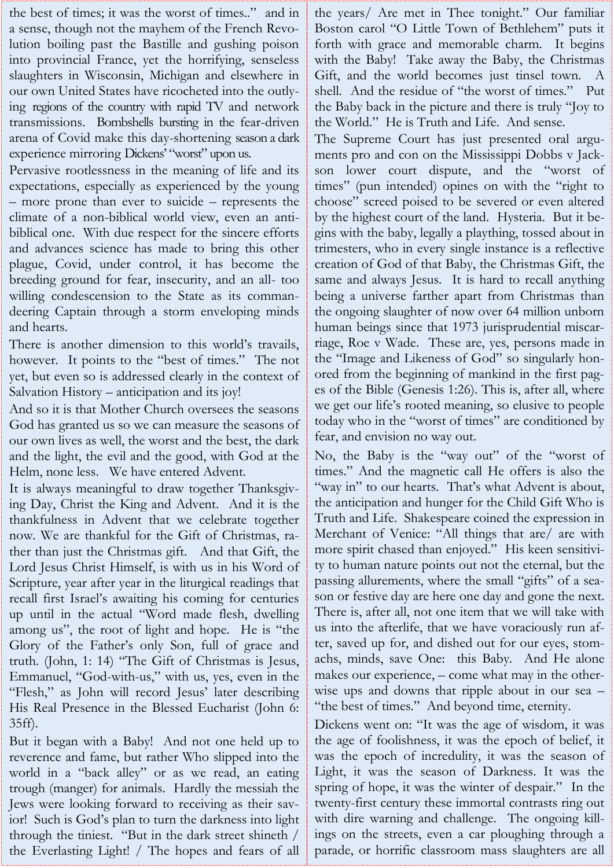the best of times; it was the worst of times.." and in a sense, though not the mayhem of the French Revolution boiling past the Bastille and gushing poison into provincial France, yet the horrifying, senseless slaughters in Wisconsin, Michigan and elsewhere in our own United States have ricocheted into the outlying regions of the country with rapid TV and network transmissions. Bombshells bursting in the fear-driven arena of Covid make this day-shortening season a dark experience mirroring Dickens' "worst" upon us.

Pervasive rootlessness in the meaning of life and its expectations, especially as experienced by the young – more prone than ever to suicide – represents the climate of a non-biblical world view, even an antibiblical one. With due respect for the sincere efforts and advances science has made to bring this other plague, Covid, under control, it has become the breeding ground for fear, insecurity, and an all- too willing condescension to the State as its commandeering Captain through a storm enveloping minds and hearts.

There is another dimension to this world's travails, however. It points to the "best of times." The not yet, but even so is addressed clearly in the context of Salvation History – anticipation and its joy!

And so it is that Mother Church oversees the seasons God has granted us so we can measure the seasons of our own lives as well, the worst and the best, the dark and the light, the evil and the good, with God at the Helm, none less. We have entered Advent.

It is always meaningful to draw together Thanksgiving Day, Christ the King and Advent. And it is the thankfulness in Advent that we celebrate together now. We are thankful for the Gift of Christmas, rather than just the Christmas gift. And that Gift, the Lord Jesus Christ Himself, is with us in his Word of Scripture, year after year in the liturgical readings that recall first Israel's awaiting his coming for centuries up until in the actual "Word made flesh, dwelling among us", the root of light and hope. He is "the Glory of the Father's only Son, full of grace and truth. (John, 1: 14) "The Gift of Christmas is Jesus, Emmanuel, "God-with-us," with us, yes, even in the "Flesh," as John will record Jesus' later describing His Real Presence in the Blessed Eucharist (John 6: 35ff).

But it began with a Baby! And not one held up to reverence and fame, but rather Who slipped into the world in a "back alley" or as we read, an eating trough (manger) for animals. Hardly the messiah the Jews were looking forward to receiving as their savior! Such is God's plan to turn the darkness into light through the tiniest. "But in the dark street shineth / the Everlasting Light! / The hopes and fears of all the years/ Are met in Thee tonight." Our familiar Boston carol "O Little Town of Bethlehem" puts it forth with grace and memorable charm. It begins with the Baby! Take away the Baby, the Christmas Gift, and the world becomes just tinsel town. A shell. And the residue of "the worst of times." Put the Baby back in the picture and there is truly "Joy to the World." He is Truth and Life. And sense.

The Supreme Court has just presented oral arguments pro and con on the Mississippi Dobbs v Jackson lower court dispute, and the "worst of times" (pun intended) opines on with the "right to choose" screed poised to be severed or even altered by the highest court of the land. Hysteria. But it begins with the baby, legally a plaything, tossed about in trimesters, who in every single instance is a reflective creation of God of that Baby, the Christmas Gift, the same and always Jesus. It is hard to recall anything being a universe farther apart from Christmas than the ongoing slaughter of now over 64 million unborn human beings since that 1973 jurisprudential miscarriage, Roe v Wade. These are, yes, persons made in the "Image and Likeness of God" so singularly honored from the beginning of mankind in the first pages of the Bible (Genesis 1:26). This is, after all, where we get our life's rooted meaning, so elusive to people today who in the "worst of times" are conditioned by fear, and envision no way out.

No, the Baby is the "way out" of the "worst of times." And the magnetic call He offers is also the "way in" to our hearts. That's what Advent is about, the anticipation and hunger for the Child Gift Who is Truth and Life. Shakespeare coined the expression in Merchant of Venice: "All things that are/ are with more spirit chased than enjoyed." His keen sensitivity to human nature points out not the eternal, but the passing allurements, where the small "gifts" of a season or festive day are here one day and gone the next. There is, after all, not one item that we will take with us into the afterlife, that we have voraciously run after, saved up for, and dished out for our eyes, stomachs, minds, save One: this Baby. And He alone makes our experience, – come what may in the otherwise ups and downs that ripple about in our sea – "the best of times." And beyond time, eternity.

Dickens went on: "It was the age of wisdom, it was the age of foolishness, it was the epoch of belief, it was the epoch of incredulity, it was the season of Light, it was the season of Darkness. It was the spring of hope, it was the winter of despair." In the twenty-first century these immortal contrasts ring out with dire warning and challenge. The ongoing killings on the streets, even a car ploughing through a parade, or horrific classroom mass slaughters are all